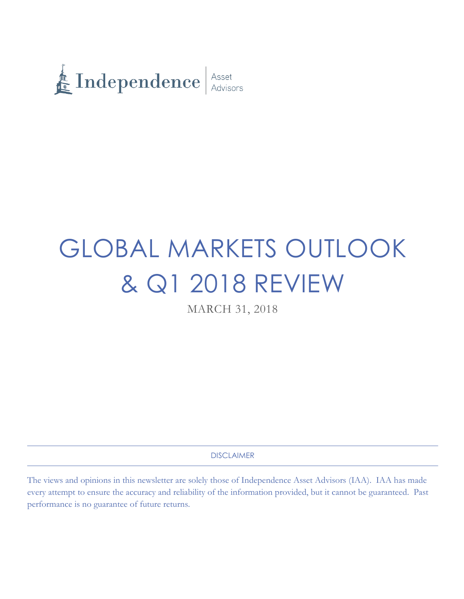

# GLOBAL MARKETS OUTLOOK & Q1 2018 REVIEW

MARCH 31, 2018

DISCLAIMER

The views and opinions in this newsletter are solely those of Independence Asset Advisors (IAA). IAA has made every attempt to ensure the accuracy and reliability of the information provided, but it cannot be guaranteed. Past performance is no guarantee of future returns.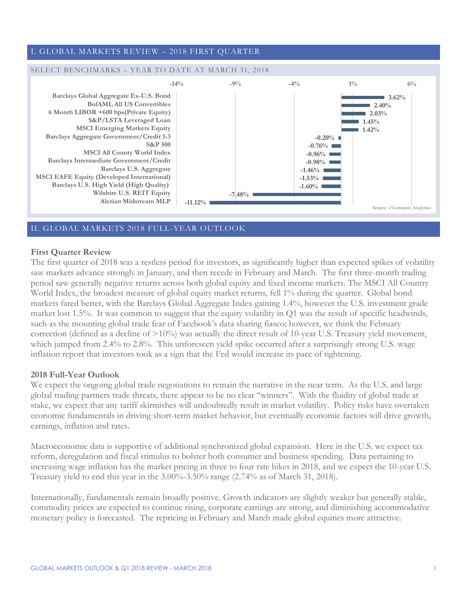## I. GLOBAL MARKETS REVIEW – 2018 FIRST QUARTER

#### SELECT BENCHMARKS – YEAR TO DATE AT MARCH 31, 2018 **-11.12% -7.48% -1.60% -1.53% -1.46% -0.98% -0.96% -0.76% -0.20% 1.42% 1.45% 2.03% 2.40% 3.62% -14% -9% -4% 1% 6% Alerian Midstream MLP Wilshire U.S. REIT Equity Barclays U.S. High Yield (High Quality) MSCI EAFE Equity (Developed International) Barclays U.S. Aggregate Barclays Intermediate Government/Credit MSCI All County World Index S&P 500 Barclays Aggregate Government/Credit 1-3 MSCI Emerging Markets Equity S&P/LSTA Leveraged Loan 6 Month LIBOR +600 bps(Private Equity) BofAML All US Convertibles Barclays Global Aggregate Ex-U.S. Bond** Source: eVestment Analytics

## II. GLOBAL MARKETS 2018 FULL-YEAR OUTLOOK

## **First Quarter Review**

The first quarter of 2018 was a restless period for investors, as significantly higher than expected spikes of volatility saw markets advance strongly in January, and then recede in February and March. The first three-month trading period saw generally negative returns across both global equity and fixed income markets. The MSCI All Country World Index, the broadest measure of global equity market returns, fell 1% during the quarter. Global bond markets fared better, with the Barclays Global Aggregate Index gaining 1.4%, however the U.S. investment grade market lost 1.5%. It was common to suggest that the equity volatility in Q1 was the result of specific headwinds, such as the mounting global trade fear of Facebook's data sharing fiasco; however, we think the February correction (defined as a decline of  $>10\%$ ) was actually the direct result of 10-year U.S. Treasury yield movement, which jumped from 2.4% to 2.8%. This unforeseen yield spike occurred after a surprisingly strong U.S. wage inflation report that investors took as a sign that the Fed would increase its pace of tightening.

#### **2018 Full-Year Outlook**

We expect the ongoing global trade negotiations to remain the narrative in the near term. As the U.S. and large global trading partners trade threats, there appear to be no clear "winners". With the fluidity of global trade at stake, we expect that any tariff skirmishes will undoubtedly result in market volatility. Policy risks have overtaken economic fundamentals in driving short-term market behavior, but eventually economic factors will drive growth, earnings, inflation and rates.

Macroeconomic data is supportive of additional synchronized global expansion. Here in the U.S. we expect tax reform, deregulation and fiscal stimulus to bolster both consumer and business spending. Data pertaining to increasing wage inflation has the market pricing in three to four rate hikes in 2018, and we expect the 10-year U.S. Treasury yield to end this year in the  $3.00\%$ - $3.50\%$  range  $(2.74\%$  as of March 31, 2018).

Internationally, fundamentals remain broadly positive. Growth indicators are slightly weaker but generally stable, commodity prices are expected to continue rising, corporate earnings are strong, and diminishing accommodative monetary policy is forecasted. The repricing in February and March made global equities more attractive.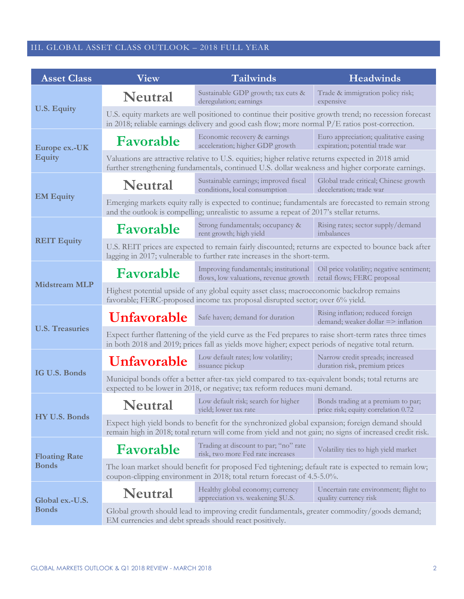## III. GLOBAL ASSET CLASS OUTLOOK – 2018 FULL YEAR

| <b>Asset Class</b>                   | View                                                                                                                                                                                                         | <b>Tailwinds</b>                                                               | <b>Headwinds</b>                                                          |  |
|--------------------------------------|--------------------------------------------------------------------------------------------------------------------------------------------------------------------------------------------------------------|--------------------------------------------------------------------------------|---------------------------------------------------------------------------|--|
| <b>U.S. Equity</b>                   | <b>Neutral</b>                                                                                                                                                                                               | Sustainable GDP growth; tax cuts &<br>deregulation; earnings                   | Trade & immigration policy risk;<br>expensive                             |  |
|                                      | U.S. equity markets are well positioned to continue their positive growth trend; no recession forecast<br>in 2018; reliable earnings delivery and good cash flow; more normal $P/E$ ratios post-correction.  |                                                                                |                                                                           |  |
| Europe ex.-UK<br><b>Equity</b>       | Favorable                                                                                                                                                                                                    | Economic recovery & earnings<br>acceleration; higher GDP growth                | Euro appreciation; qualitative easing<br>expiration; potential trade war  |  |
|                                      | Valuations are attractive relative to U.S. equities; higher relative returns expected in 2018 amid<br>further strengthening fundamentals, continued U.S. dollar weakness and higher corporate earnings.      |                                                                                |                                                                           |  |
| <b>EM Equity</b>                     | Neutral                                                                                                                                                                                                      | Sustainable earnings; improved fiscal<br>conditions, local consumption         | Global trade critical; Chinese growth<br>deceleration; trade war          |  |
|                                      | Emerging markets equity rally is expected to continue; fundamentals are forecasted to remain strong<br>and the outlook is compelling; unrealistic to assume a repeat of 2017's stellar returns.              |                                                                                |                                                                           |  |
|                                      | Favorable                                                                                                                                                                                                    | Strong fundamentals; occupancy &<br>rent growth; high yield                    | Rising rates; sector supply/demand<br>imbalances                          |  |
| <b>REIT Equity</b>                   | U.S. REIT prices are expected to remain fairly discounted; returns are expected to bounce back after<br>lagging in 2017; vulnerable to further rate increases in the short-term.                             |                                                                                |                                                                           |  |
| <b>Midstream MLP</b>                 | Favorable                                                                                                                                                                                                    | Improving fundamentals; institutional<br>flows, low valuations, revenue growth | Oil price volatility; negative sentiment;<br>retail flows; FERC proposal  |  |
|                                      | Highest potential upside of any global equity asset class; macroeconomic backdrop remains<br>favorable; FERC-proposed income tax proposal disrupted sector; over 6% yield.                                   |                                                                                |                                                                           |  |
| <b>U.S. Treasuries</b>               | <b>Unfavorable</b>                                                                                                                                                                                           | Safe haven; demand for duration                                                | Rising inflation; reduced foreign<br>demand; weaker dollar => inflation   |  |
|                                      | Expect further flattening of the yield curve as the Fed prepares to raise short-term rates three times<br>in both 2018 and 2019; prices fall as yields move higher; expect periods of negative total return. |                                                                                |                                                                           |  |
| IG U.S. Bonds                        | <b>Unfavorable</b>                                                                                                                                                                                           | Low default rates; low volatility;<br>issuance pickup                          | Narrow credit spreads; increased<br>duration risk, premium prices         |  |
|                                      | Municipal bonds offer a better after-tax yield compared to tax-equivalent bonds; total returns are<br>expected to be lower in 2018, or negative; tax reform reduces muni demand.                             |                                                                                |                                                                           |  |
| HY U.S. Bonds                        | Neutral                                                                                                                                                                                                      | Low default risk; search for higher<br>yield; lower tax rate                   | Bonds trading at a premium to par;<br>price risk; equity correlation 0.72 |  |
|                                      | Expect high yield bonds to benefit for the synchronized global expansion; foreign demand should<br>remain high in 2018; total return will come from yield and not gain; no signs of increased credit risk.   |                                                                                |                                                                           |  |
| <b>Floating Rate</b><br><b>Bonds</b> | Favorable                                                                                                                                                                                                    | Trading at discount to par; "no" rate<br>risk, two more Fed rate increases     | Volatility ties to high yield market                                      |  |
|                                      | The loan market should benefit for proposed Fed tightening; default rate is expected to remain low;<br>coupon-clipping environment in 2018; total return forecast of 4.5-5.0%.                               |                                                                                |                                                                           |  |
| Global ex.-U.S.<br><b>Bonds</b>      | <b>Neutral</b>                                                                                                                                                                                               | Healthy global economy; currency<br>appreciation vs. weakening \$U.S.          | Uncertain rate environment; flight to<br>quality currency risk            |  |
|                                      | Global growth should lead to improving credit fundamentals, greater commodity/goods demand;<br>EM currencies and debt spreads should react positively.                                                       |                                                                                |                                                                           |  |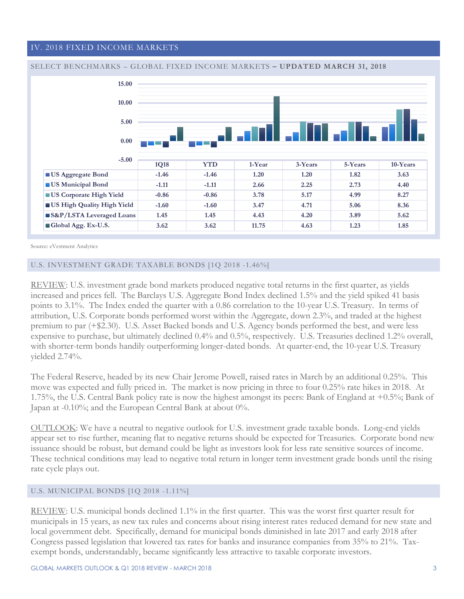#### IV. 2018 FIXED INCOME MARKETS





Source: eVestment Analytics

#### U.S. INVESTMENT GRADE TAXABLE BONDS [1Q 2018 -1.46%]

REVIEW: U.S. investment grade bond markets produced negative total returns in the first quarter, as yields increased and prices fell. The Barclays U.S. Aggregate Bond Index declined 1.5% and the yield spiked 41 basis points to 3.1%. The Index ended the quarter with a 0.86 correlation to the 10-year U.S. Treasury. In terms of attribution, U.S. Corporate bonds performed worst within the Aggregate, down 2.3%, and traded at the highest premium to par (+\$2.30). U.S. Asset Backed bonds and U.S. Agency bonds performed the best, and were less expensive to purchase, but ultimately declined 0.4% and 0.5%, respectively. U.S. Treasuries declined 1.2% overall, with shorter-term bonds handily outperforming longer-dated bonds. At quarter-end, the 10-year U.S. Treasury yielded 2.74%.

The Federal Reserve, headed by its new Chair Jerome Powell, raised rates in March by an additional 0.25%. This move was expected and fully priced in. The market is now pricing in three to four 0.25% rate hikes in 2018. At 1.75%, the U.S. Central Bank policy rate is now the highest amongst its peers: Bank of England at +0.5%; Bank of Japan at -0.10%; and the European Central Bank at about 0%.

OUTLOOK: We have a neutral to negative outlook for U.S. investment grade taxable bonds. Long-end yields appear set to rise further, meaning flat to negative returns should be expected for Treasuries. Corporate bond new issuance should be robust, but demand could be light as investors look for less rate sensitive sources of income. These technical conditions may lead to negative total return in longer term investment grade bonds until the rising rate cycle plays out.

#### U.S. MUNICIPAL BONDS [1Q 2018 -1.11%]

REVIEW: U.S. municipal bonds declined 1.1% in the first quarter. This was the worst first quarter result for municipals in 15 years, as new tax rules and concerns about rising interest rates reduced demand for new state and local government debt. Specifically, demand for municipal bonds diminished in late 2017 and early 2018 after Congress passed legislation that lowered tax rates for banks and insurance companies from 35% to 21%. Taxexempt bonds, understandably, became significantly less attractive to taxable corporate investors.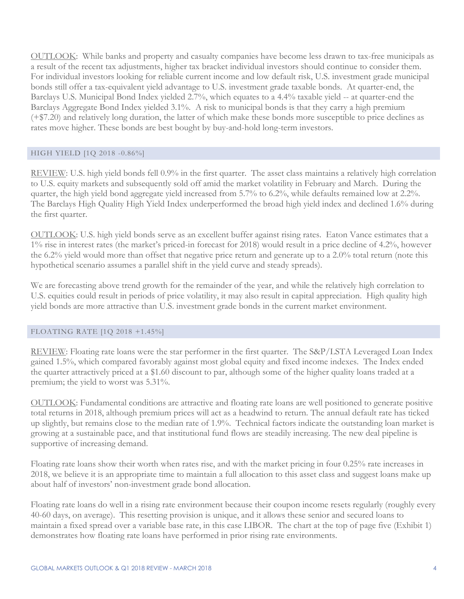OUTLOOK: While banks and property and casualty companies have become less drawn to tax-free municipals as a result of the recent tax adjustments, higher tax bracket individual investors should continue to consider them. For individual investors looking for reliable current income and low default risk, U.S. investment grade municipal bonds still offer a tax-equivalent yield advantage to U.S. investment grade taxable bonds. At quarter-end, the Barclays U.S. Municipal Bond Index yielded 2.7%, which equates to a 4.4% taxable yield -- at quarter-end the Barclays Aggregate Bond Index yielded 3.1%. A risk to municipal bonds is that they carry a high premium (+\$7.20) and relatively long duration, the latter of which make these bonds more susceptible to price declines as rates move higher. These bonds are best bought by buy-and-hold long-term investors.

## HIGH YIELD [1Q 2018 -0.86%]

REVIEW: U.S. high yield bonds fell 0.9% in the first quarter. The asset class maintains a relatively high correlation to U.S. equity markets and subsequently sold off amid the market volatility in February and March. During the quarter, the high yield bond aggregate yield increased from 5.7% to 6.2%, while defaults remained low at 2.2%. The Barclays High Quality High Yield Index underperformed the broad high yield index and declined 1.6% during the first quarter.

OUTLOOK: U.S. high yield bonds serve as an excellent buffer against rising rates. Eaton Vance estimates that a 1% rise in interest rates (the market's priced-in forecast for 2018) would result in a price decline of 4.2%, however the 6.2% yield would more than offset that negative price return and generate up to a 2.0% total return (note this hypothetical scenario assumes a parallel shift in the yield curve and steady spreads).

We are forecasting above trend growth for the remainder of the year, and while the relatively high correlation to U.S. equities could result in periods of price volatility, it may also result in capital appreciation. High quality high yield bonds are more attractive than U.S. investment grade bonds in the current market environment.

## FLOATING RATE [1Q 2018 +1.45%]

REVIEW: Floating rate loans were the star performer in the first quarter. The S&P/LSTA Leveraged Loan Index gained 1.5%, which compared favorably against most global equity and fixed income indexes. The Index ended the quarter attractively priced at a \$1.60 discount to par, although some of the higher quality loans traded at a premium; the yield to worst was 5.31%.

OUTLOOK: Fundamental conditions are attractive and floating rate loans are well positioned to generate positive total returns in 2018, although premium prices will act as a headwind to return. The annual default rate has ticked up slightly, but remains close to the median rate of 1.9%. Technical factors indicate the outstanding loan market is growing at a sustainable pace, and that institutional fund flows are steadily increasing. The new deal pipeline is supportive of increasing demand.

Floating rate loans show their worth when rates rise, and with the market pricing in four 0.25% rate increases in 2018, we believe it is an appropriate time to maintain a full allocation to this asset class and suggest loans make up about half of investors' non-investment grade bond allocation.

Floating rate loans do well in a rising rate environment because their coupon income resets regularly (roughly every 40-60 days, on average). This resetting provision is unique, and it allows these senior and secured loans to maintain a fixed spread over a variable base rate, in this case LIBOR. The chart at the top of page five (Exhibit 1) demonstrates how floating rate loans have performed in prior rising rate environments.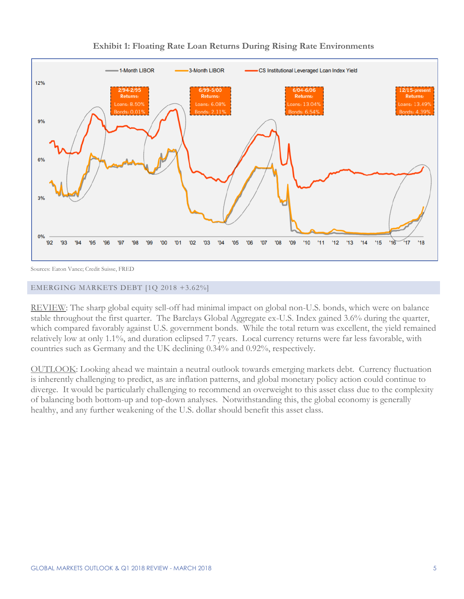

## **Exhibit 1: Floating Rate Loan Returns During Rising Rate Environments**

Sources: Eaton Vance; Credit Suisse, FRED

## EMERGING MARKETS DEBT [1Q 2018 +3.62%]

REVIEW: The sharp global equity sell-off had minimal impact on global non-U.S. bonds, which were on balance stable throughout the first quarter. The Barclays Global Aggregate ex-U.S. Index gained 3.6% during the quarter, which compared favorably against U.S. government bonds. While the total return was excellent, the yield remained relatively low at only 1.1%, and duration eclipsed 7.7 years. Local currency returns were far less favorable, with countries such as Germany and the UK declining 0.34% and 0.92%, respectively.

OUTLOOK: Looking ahead we maintain a neutral outlook towards emerging markets debt. Currency fluctuation is inherently challenging to predict, as are inflation patterns, and global monetary policy action could continue to diverge. It would be particularly challenging to recommend an overweight to this asset class due to the complexity of balancing both bottom-up and top-down analyses. Notwithstanding this, the global economy is generally healthy, and any further weakening of the U.S. dollar should benefit this asset class.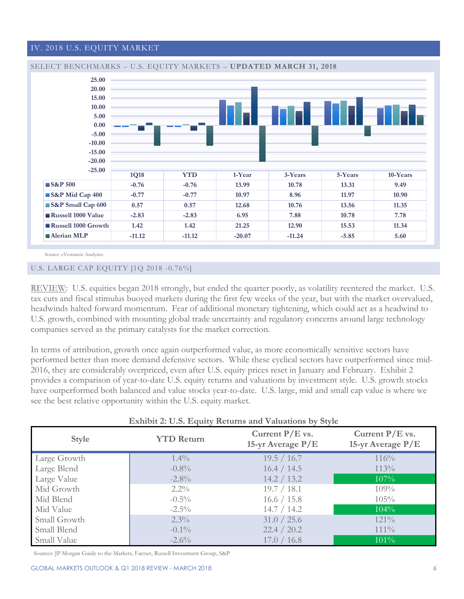#### IV. 2018 U.S. EQUITY MARKET



#### SELECT BENCHMARKS – U.S. EQUITY MARKETS – **UPDATED MARCH 31, 2018**

Source: eVestment Analytics

#### U.S. LARGE CAP EQUITY [1Q 2018 -0.76%]

REVIEW: U.S. equities began 2018 strongly, but ended the quarter poorly, as volatility reentered the market. U.S. tax cuts and fiscal stimulus buoyed markets during the first few weeks of the year, but with the market overvalued, headwinds halted forward momentum. Fear of additional monetary tightening, which could act as a headwind to U.S. growth, combined with mounting global trade uncertainty and regulatory concerns around large technology companies served as the primary catalysts for the market correction.

In terms of attribution, growth once again outperformed value, as more economically sensitive sectors have performed better than more demand defensive sectors. While these cyclical sectors have outperformed since mid-2016, they are considerably overpriced, even after U.S. equity prices reset in January and February. Exhibit 2 provides a comparison of year-to-date U.S. equity returns and valuations by investment style. U.S. growth stocks have outperformed both balanced and value stocks year-to-date. U.S. large, mid and small cap value is where we see the best relative opportunity within the U.S. equity market.

| Exhibit 2: U.S. Equity Returns and Valuations by Style |                   |                                        |                                          |  |  |
|--------------------------------------------------------|-------------------|----------------------------------------|------------------------------------------|--|--|
| Style                                                  | <b>YTD Return</b> | Current $P/E$ vs.<br>15-yr Average P/E | Current $P/E$ vs.<br>15-yr Average $P/E$ |  |  |
| Large Growth                                           | $1.4\%$           | 19.5 / 16.7                            | 116%                                     |  |  |
| Large Blend                                            | $-0.8\%$          | 16.4 / 14.5                            | 113%                                     |  |  |
| Large Value                                            | $-2.8\%$          | 14.2 / 13.2                            | 107%                                     |  |  |
| Mid Growth                                             | $2.2\%$           | 19.7 / 18.1                            | $109\%$                                  |  |  |
| Mid Blend                                              | $-0.5\%$          | 16.6 / 15.8                            | 105%                                     |  |  |
| Mid Value                                              | $-2.5\%$          | 14.7 / 14.2                            | 104%                                     |  |  |
| Small Growth                                           | $2.3\%$           | 31.0 / 25.6                            | $121\%$                                  |  |  |
| Small Blend                                            | $-0.1\%$          | 22.4 / 20.2                            | $111\%$                                  |  |  |
| Small Value                                            | $-2.6\%$          | 17.0 / 16.8                            | $101\%$                                  |  |  |

Sources: JP Morgan Guide to the Markets, Factset, Russell Investment Group, S&P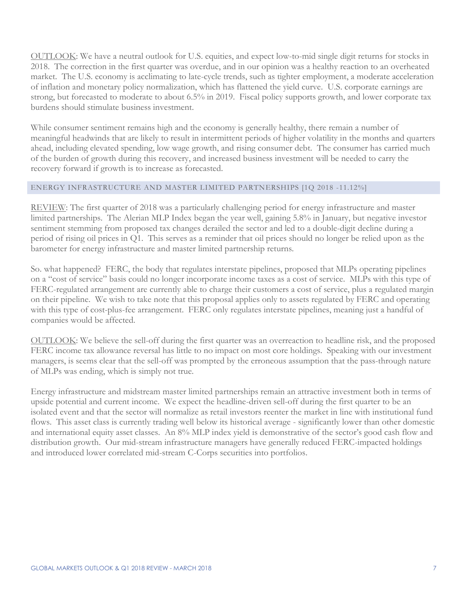OUTLOOK: We have a neutral outlook for U.S. equities, and expect low-to-mid single digit returns for stocks in 2018. The correction in the first quarter was overdue, and in our opinion was a healthy reaction to an overheated market. The U.S. economy is acclimating to late-cycle trends, such as tighter employment, a moderate acceleration of inflation and monetary policy normalization, which has flattened the yield curve. U.S. corporate earnings are strong, but forecasted to moderate to about 6.5% in 2019. Fiscal policy supports growth, and lower corporate tax burdens should stimulate business investment.

While consumer sentiment remains high and the economy is generally healthy, there remain a number of meaningful headwinds that are likely to result in intermittent periods of higher volatility in the months and quarters ahead, including elevated spending, low wage growth, and rising consumer debt. The consumer has carried much of the burden of growth during this recovery, and increased business investment will be needed to carry the recovery forward if growth is to increase as forecasted.

## ENERGY INFRASTRUCTURE AND MASTER LIMITED PARTNERSHIPS [1Q 2018 -11.12%]

REVIEW: The first quarter of 2018 was a particularly challenging period for energy infrastructure and master limited partnerships. The Alerian MLP Index began the year well, gaining 5.8% in January, but negative investor sentiment stemming from proposed tax changes derailed the sector and led to a double-digit decline during a period of rising oil prices in Q1. This serves as a reminder that oil prices should no longer be relied upon as the barometer for energy infrastructure and master limited partnership returns.

So. what happened? FERC, the body that regulates interstate pipelines, proposed that MLPs operating pipelines on a "cost of service" basis could no longer incorporate income taxes as a cost of service. MLPs with this type of FERC-regulated arrangement are currently able to charge their customers a cost of service, plus a regulated margin on their pipeline. We wish to take note that this proposal applies only to assets regulated by FERC and operating with this type of cost-plus-fee arrangement. FERC only regulates interstate pipelines, meaning just a handful of companies would be affected.

OUTLOOK: We believe the sell-off during the first quarter was an overreaction to headline risk, and the proposed FERC income tax allowance reversal has little to no impact on most core holdings. Speaking with our investment managers, is seems clear that the sell-off was prompted by the erroneous assumption that the pass-through nature of MLPs was ending, which is simply not true.

Energy infrastructure and midstream master limited partnerships remain an attractive investment both in terms of upside potential and current income. We expect the headline-driven sell-off during the first quarter to be an isolated event and that the sector will normalize as retail investors reenter the market in line with institutional fund flows. This asset class is currently trading well below its historical average - significantly lower than other domestic and international equity asset classes. An 8% MLP index yield is demonstrative of the sector's good cash flow and distribution growth. Our mid-stream infrastructure managers have generally reduced FERC-impacted holdings and introduced lower correlated mid-stream C-Corps securities into portfolios.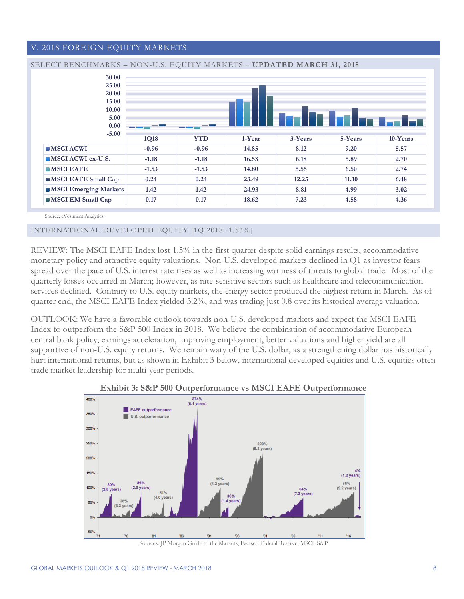#### V. 2018 FOREIGN EQUITY MARKETS



#### Source: eVestment Analytics

#### INTERNATIONAL DEVELOPED EQUITY [1Q 2018 -1.53%]

REVIEW: The MSCI EAFE Index lost 1.5% in the first quarter despite solid earnings results, accommodative monetary policy and attractive equity valuations. Non-U.S. developed markets declined in Q1 as investor fears spread over the pace of U.S. interest rate rises as well as increasing wariness of threats to global trade. Most of the quarterly losses occurred in March; however, as rate-sensitive sectors such as healthcare and telecommunication services declined. Contrary to U.S. equity markets, the energy sector produced the highest return in March. As of quarter end, the MSCI EAFE Index yielded 3.2%, and was trading just 0.8 over its historical average valuation.

OUTLOOK: We have a favorable outlook towards non-U.S. developed markets and expect the MSCI EAFE Index to outperform the S&P 500 Index in 2018. We believe the combination of accommodative European central bank policy, earnings acceleration, improving employment, better valuations and higher yield are all supportive of non-U.S. equity returns. We remain wary of the U.S. dollar, as a strengthening dollar has historically hurt international returns, but as shown in Exhibit 3 below, international developed equities and U.S. equities often trade market leadership for multi-year periods.



**Exhibit 3: S&P 500 Outperformance vs MSCI EAFE Outperformance**

Sources: JP Morgan Guide to the Markets, Factset, Federal Reserve, MSCI, S&P